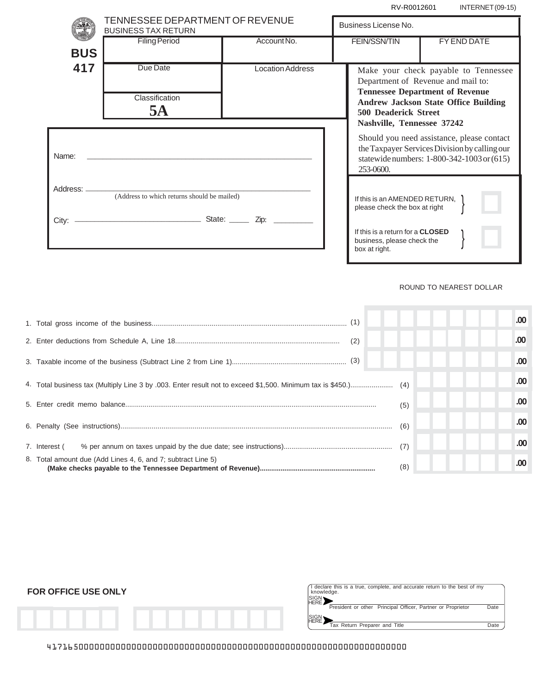RV-R0012601 INTERNET (09-15)

|            | TENNESSEE DEPARTMENT OF REVENUE<br><b>BUSINESS TAX RETURN</b>           |                         |                                                                            |                                                                                                                                                        |  |             |
|------------|-------------------------------------------------------------------------|-------------------------|----------------------------------------------------------------------------|--------------------------------------------------------------------------------------------------------------------------------------------------------|--|-------------|
|            |                                                                         |                         | Business License No.                                                       |                                                                                                                                                        |  |             |
| <b>BUS</b> | <b>Filing Period</b>                                                    | Account No.             |                                                                            | <b>FEIN/SSN/TIN</b>                                                                                                                                    |  | FY END DATE |
|            |                                                                         |                         |                                                                            |                                                                                                                                                        |  |             |
| 417        | Due Date                                                                | <b>Location Address</b> | Make your check payable to Tennessee<br>Department of Revenue and mail to: |                                                                                                                                                        |  |             |
|            | Classification<br>5A                                                    |                         |                                                                            | <b>Tennessee Department of Revenue</b><br><b>Andrew Jackson State Office Building</b><br><b>500 Deaderick Street</b><br>Nashville, Tennessee 37242     |  |             |
| Name:      |                                                                         |                         |                                                                            | Should you need assistance, please contact<br>the Taxpayer Services Division by calling our<br>statewide numbers: 1-800-342-1003 or (615)<br>253-0600. |  |             |
|            | Address: _______________<br>(Address to which returns should be mailed) |                         |                                                                            | If this is an AMENDED RETURN.<br>please check the box at right                                                                                         |  |             |
|            |                                                                         |                         |                                                                            | If this is a return for a CLOSED<br>business, please check the<br>box at right.                                                                        |  |             |

## ROUND TO NEAREST DOLLAR

|                                                              |     | .00 <sub>1</sub> |
|--------------------------------------------------------------|-----|------------------|
| (2)                                                          |     | .00              |
|                                                              |     | .00 <sub>1</sub> |
|                                                              |     | .00 <sub>1</sub> |
|                                                              | (5) | .00 <sub>1</sub> |
|                                                              | (6) | .00 <sub>1</sub> |
| 7. Interest (                                                | (7) | .00 <sub>1</sub> |
| 8. Total amount due (Add Lines 4, 6, and 7; subtract Line 5) | (8) | .00 <sub>1</sub> |

| <b>FOR OFFICE USE ONLY</b> | I declare this is a true, complete, and accurate return to the best of my<br>knowledge.<br>SIGN '<br>HERE    |              |
|----------------------------|--------------------------------------------------------------------------------------------------------------|--------------|
|                            | President or other Principal Officer, Partner or Proprietor<br>SIGN<br>HERE<br>Tax Return Preparer and Title | Date<br>Date |

41716500000000000000000000000000000000000000000000000000000000000000